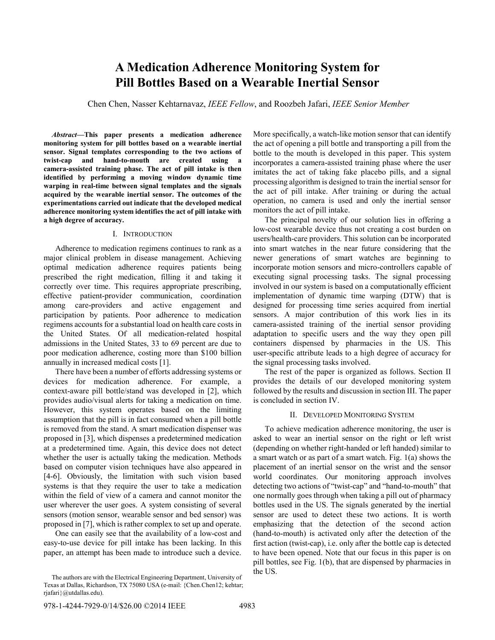# **A Medication Adherence Monitoring System for Pill Bottles Based on a Wearable Inertial Sensor**

Chen Chen, Nasser Kehtarnavaz, *IEEE Fellow*, and Roozbeh Jafari, *IEEE Senior Member*

*Abstract***—This paper presents a medication adherence monitoring system for pill bottles based on a wearable inertial sensor. Signal templates corresponding to the two actions of twist-cap and hand-to-mouth are created using a camera-assisted training phase. The act of pill intake is then identified by performing a moving window dynamic time warping in real-time between signal templates and the signals acquired by the wearable inertial sensor. The outcomes of the experimentations carried out indicate that the developed medical adherence monitoring system identifies the act of pill intake with a high degree of accuracy.**

## I. INTRODUCTION

Adherence to medication regimens continues to rank as a major clinical problem in disease management. Achieving optimal medication adherence requires patients being prescribed the right medication, filling it and taking it correctly over time. This requires appropriate prescribing, effective patient-provider communication, coordination among care-providers and active engagement and participation by patients. Poor adherence to medication regimens accounts for a substantial load on health care costs in the United States. Of all medication-related hospital admissions in the United States, 33 to 69 percent are due to poor medication adherence, costing more than \$100 billion annually in increased medical costs [1].

There have been a number of efforts addressing systems or devices for medication adherence. For example, a context-aware pill bottle/stand was developed in [2], which provides audio/visual alerts for taking a medication on time. However, this system operates based on the limiting assumption that the pill is in fact consumed when a pill bottle is removed from the stand. A smart medication dispenser was proposed in [3], which dispenses a predetermined medication at a predetermined time. Again, this device does not detect whether the user is actually taking the medication. Methods based on computer vision techniques have also appeared in [4-6]. Obviously, the limitation with such vision based systems is that they require the user to take a medication within the field of view of a camera and cannot monitor the user wherever the user goes. A system consisting of several sensors (motion sensor, wearable sensor and bed sensor) was proposed in [7], which is rather complex to set up and operate.

One can easily see that the availability of a low-cost and easy-to-use device for pill intake has been lacking. In this paper, an attempt has been made to introduce such a device.

More specifically, a watch-like motion sensor that can identify the act of opening a pill bottle and transporting a pill from the bottle to the mouth is developed in this paper. This system incorporates a camera-assisted training phase where the user imitates the act of taking fake placebo pills, and a signal processing algorithm is designed to train the inertial sensor for the act of pill intake. After training or during the actual operation, no camera is used and only the inertial sensor monitors the act of pill intake.

The principal novelty of our solution lies in offering a low-cost wearable device thus not creating a cost burden on users/health-care providers. This solution can be incorporated into smart watches in the near future considering that the newer generations of smart watches are beginning to incorporate motion sensors and micro-controllers capable of executing signal processing tasks. The signal processing involved in our system is based on a computationally efficient implementation of dynamic time warping (DTW) that is designed for processing time series acquired from inertial sensors. A major contribution of this work lies in its camera-assisted training of the inertial sensor providing adaptation to specific users and the way they open pill containers dispensed by pharmacies in the US. This user-specific attribute leads to a high degree of accuracy for the signal processing tasks involved.

The rest of the paper is organized as follows. Section II provides the details of our developed monitoring system followed by the results and discussion in section III. The paper is concluded in section IV.

# II. DEVELOPED MONITORING SYSTEM

To achieve medication adherence monitoring, the user is asked to wear an inertial sensor on the right or left wrist (depending on whether right-handed or left handed) similar to a smart watch or as part of a smart watch. Fig. 1(a) shows the placement of an inertial sensor on the wrist and the sensor world coordinates. Our monitoring approach involves detecting two actions of "twist-cap" and "hand-to-mouth" that one normally goes through when taking a pill out of pharmacy bottles used in the US. The signals generated by the inertial sensor are used to detect these two actions. It is worth emphasizing that the detection of the second action (hand-to-mouth) is activated only after the detection of the first action (twist-cap), i.e. only after the bottle cap is detected to have been opened. Note that our focus in this paper is on pill bottles, see Fig. 1(b), that are dispensed by pharmacies in the US.

The authors are with the Electrical Engineering Department, University of Texas at Dallas, Richardson, TX 75080 USA (e-mail: {Chen.Chen12; kehtar; rjafari}@utdallas.edu).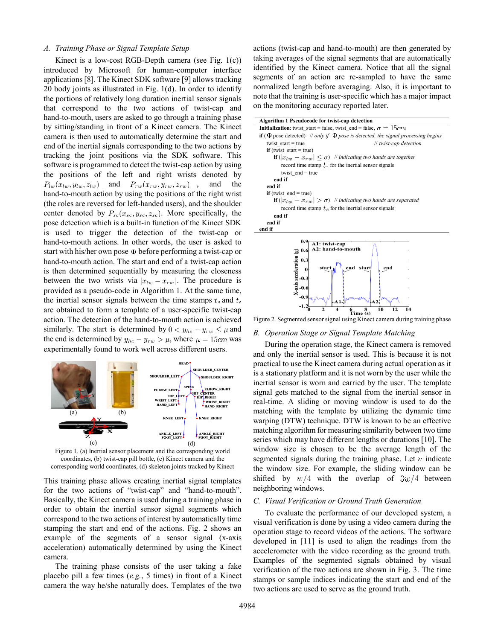## *A. Training Phase or Signal Template Setup*

Kinect is a low-cost RGB-Depth camera (see Fig.  $1(c)$ ) introduced by Microsoft for human-computer interface applications[8]. The Kinect SDK software [9] allows tracking 20 body joints as illustrated in Fig. 1(d). In order to identify the portions of relatively long duration inertial sensor signals that correspond to the two actions of twist-cap and hand-to-mouth, users are asked to go through a training phase by sitting/standing in front of a Kinect camera. The Kinect camera is then used to automatically determine the start and end of the inertial signals corresponding to the two actions by tracking the joint positions via the SDK software. This software is programmed to detect the twist-cap action by using the positions of the left and right wrists denoted by  $P_{lw}(x_{lw}, y_{lw}, z_{lw})$  and  $P_{rw}(x_{rw}, y_{rw}, z_{rw})$ , and the hand-to-mouth action by using the positions of the right wrist (the roles are reversed for left-handed users), and the shoulder center denoted by  $P_{sc}(x_{sc}, y_{sc}, z_{sc})$ . More specifically, the pose detection which is a built-in function of the Kinect SDK is used to trigger the detection of the twist-cap or hand-to-mouth actions. In other words, the user is asked to start with his/her own pose  $\Psi$  before performing a twist-cap or hand-to-mouth action. The start and end of a twist-cap action is then determined sequentially by measuring the closeness between the two wrists via  $|x_{lw} - x_{rw}|$ . The procedure is provided as a pseudo-code in Algorithm 1. At the same time, the inertial sensor signals between the time stamps  $t_s$  and  $t_e$ are obtained to form a template of a user-specific twist-cap action. The detection of the hand-to-mouth action is achieved similarly. The start is determined by  $0 < y_{hc} - y_{rw} \leq \mu$  and the end is determined by  $y_{hc} - y_{rw} > \mu$ , where  $\mu = 15cm$  was experimentally found to work well across different users.



Figure 1. (a) Inertial sensor placement and the corresponding world coordinates, (b) twist-cap pill bottle, (c) Kinect camera and the corresponding world coordinates, (d) skeleton joints tracked by Kinect

This training phase allows creating inertial signal templates for the two actions of "twist-cap" and "hand-to-mouth". Basically, the Kinect camera is used during a training phase in order to obtain the inertial sensor signal segments which correspond to the two actions of interest by automatically time stamping the start and end of the actions. Fig. 2 shows an example of the segments of a sensor signal (x-axis acceleration) automatically determined by using the Kinect camera.

The training phase consists of the user taking a fake placebo pill a few times (*e.g.*, 5 times) in front of a Kinect camera the way he/she naturally does. Templates of the two

actions (twist-cap and hand-to-mouth) are then generated by taking averages of the signal segments that are automatically identified by the Kinect camera. Notice that all the signal segments of an action are re-sampled to have the same normalized length before averaging. Also, it is important to note that the training is user-specific which has a major impact on the monitoring accuracy reported later.

| Algorithm 1 Pseudocode for twist-cap detection                                                                                                                                                                                           |  |  |  |  |  |
|------------------------------------------------------------------------------------------------------------------------------------------------------------------------------------------------------------------------------------------|--|--|--|--|--|
| <b>Initialization</b> : twist start = false, twist end = false, $\sigma = 15cm$                                                                                                                                                          |  |  |  |  |  |
| if ( $\Psi$ pose detected) // only if $\Psi$ pose is detected, the signal processing begins                                                                                                                                              |  |  |  |  |  |
| twist $start = true$<br>// twist-cap detection                                                                                                                                                                                           |  |  |  |  |  |
| if (twist start = true)                                                                                                                                                                                                                  |  |  |  |  |  |
| <b>if</b> $( x_{lw} - x_{rw}  \leq \sigma)$ // indicating two hands are together                                                                                                                                                         |  |  |  |  |  |
| record time stamp $t_s$ for the inertial sensor signals                                                                                                                                                                                  |  |  |  |  |  |
| twist end $=$ true                                                                                                                                                                                                                       |  |  |  |  |  |
| end if                                                                                                                                                                                                                                   |  |  |  |  |  |
| end if                                                                                                                                                                                                                                   |  |  |  |  |  |
| if (twist $end = true$ )                                                                                                                                                                                                                 |  |  |  |  |  |
| <b>if</b> $( x_{lw} - x_{rw}  > \sigma)$ // indicating two hands are separated                                                                                                                                                           |  |  |  |  |  |
| record time stamp $t_e$ for the inertial sensor signals                                                                                                                                                                                  |  |  |  |  |  |
| end if                                                                                                                                                                                                                                   |  |  |  |  |  |
| end if                                                                                                                                                                                                                                   |  |  |  |  |  |
| end if                                                                                                                                                                                                                                   |  |  |  |  |  |
| 0.9<br>A1: twist-cap<br>A2: hand-to-mouth<br>$X$ -axis acceleration (g)<br>$\frac{1}{2}$ = $\frac{1}{6}$ = $\frac{1}{6}$<br>end start<br>start<br>end<br>$-0.9$<br>$\overline{2}$<br>10<br>12<br>14<br>8<br>6              8<br>Time (s) |  |  |  |  |  |

Figure 2. Segmented sensor signal using Kinect camera during training phase

## *B. Operation Stage or Signal Template Matching*

During the operation stage, the Kinect camera is removed and only the inertial sensor is used. This is because it is not practical to use the Kinect camera during actual operation as it is a stationary platform and it is not worn by the user while the inertial sensor is worn and carried by the user. The template signal gets matched to the signal from the inertial sensor in real-time. A sliding or moving window is used to do the matching with the template by utilizing the dynamic time warping (DTW) technique. DTW is known to be an effective matching algorithm for measuring similarity between two time series which may have different lengths or durations [10]. The window size is chosen to be the average length of the segmented signals during the training phase. Let  $w$  indicate the window size. For example, the sliding window can be shifted by  $w/4$  with the overlap of  $3w/4$  between neighboring windows.

## *C. Visual Verification or Ground Truth Generation*

To evaluate the performance of our developed system, a visual verification is done by using a video camera during the operation stage to record videos of the actions. The software developed in [11] is used to align the readings from the accelerometer with the video recording as the ground truth. Examples of the segmented signals obtained by visual verification of the two actions are shown in Fig. 3. The time stamps or sample indices indicating the start and end of the two actions are used to serve as the ground truth.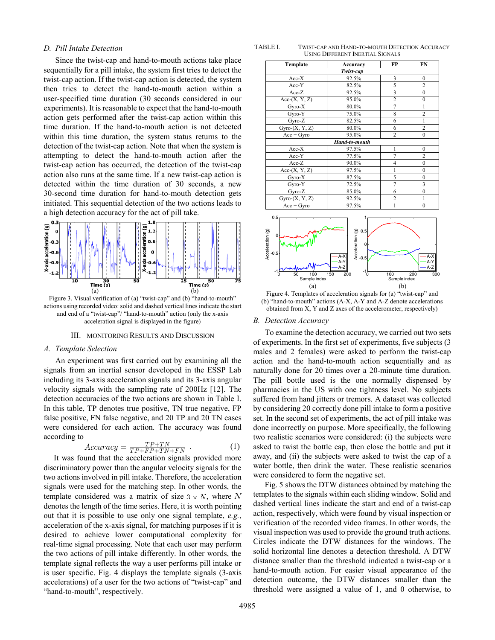### *D. Pill Intake Detection*

Since the twist-cap and hand-to-mouth actions take place sequentially for a pill intake, the system first tries to detect the twist-cap action. If the twist-cap action is detected, the system then tries to detect the hand-to-mouth action within a user-specified time duration (30 seconds considered in our experiments). It is reasonable to expect that the hand-to-mouth action gets performed after the twist-cap action within this time duration. If the hand-to-mouth action is not detected within this time duration, the system status returns to the detection of the twist-cap action. Note that when the system is attempting to detect the hand-to-mouth action after the twist-cap action has occurred, the detection of the twist-cap action also runs at the same time. If a new twist-cap action is detected within the time duration of 30 seconds, a new 30-second time duration for hand-to-mouth detection gets initiated. This sequential detection of the two actions leads to a high detection accuracy for the act of pill take.



Figure 3. Visual verification of (a) "twist-cap" and (b) "hand-to-mouth" actions using recorded video: solid and dashed vertical lines indicate the start and end of a "twist-cap"/ "hand-to-mouth" action (only the x-axis acceleration signal is displayed in the figure)

#### III. MONITORING RESULTS AND DISCUSSION

#### *A. Template Selection*

An experiment was first carried out by examining all the signals from an inertial sensor developed in the ESSP Lab including its 3-axis acceleration signals and its 3-axis angular velocity signals with the sampling rate of 200Hz [12]. The detection accuracies of the two actions are shown in Table I. In this table, TP denotes true positive, TN true negative, FP false positive, FN false negative, and 20 TP and 20 TN cases were considered for each action. The accuracy was found according to

$$
Accuracy = \frac{TP + TN}{TP + FP + TN + FN} \tag{1}
$$

 It was found that the acceleration signals provided more discriminatory power than the angular velocity signals for the two actions involved in pill intake. Therefore, the acceleration signals were used for the matching step. In other words, the template considered was a matrix of size  $3 \times N$ , where N denotes the length of the time series. Here, it is worth pointing out that it is possible to use only one signal template, *e.g.*, acceleration of the x-axis signal, for matching purposes if it is desired to achieve lower computational complexity for real-time signal processing. Note that each user may perform the two actions of pill intake differently. In other words, the template signal reflects the way a user performs pill intake or is user specific. Fig. 4 displays the template signals (3-axis accelerations) of a user for the two actions of "twist-cap" and "hand-to-mouth", respectively.

TABLE I. TWIST-CAP AND HAND-TO-MOUTH DETECTION ACCURACY USING DIFFERENT INERTIAL SIGNALS

| Template         | Accuracy      | FP             | FN             |  |  |  |  |
|------------------|---------------|----------------|----------------|--|--|--|--|
| Twist-cap        |               |                |                |  |  |  |  |
| $Acc-X$          | 92.5%         | 3              | $\mathbf{0}$   |  |  |  |  |
| Acc-Y            | 82.5%         | 5              | $\overline{c}$ |  |  |  |  |
| $Acc-Z$          | 92.5%         | 3              | $\mathbf{0}$   |  |  |  |  |
| $Acc-(X, Y, Z)$  | 95.0%         | $\overline{c}$ | $\mathbf{0}$   |  |  |  |  |
| Gyro-X           | 80.0%         | 7              | 1              |  |  |  |  |
| Gyro-Y           | 75.0%         | 8              | $\overline{c}$ |  |  |  |  |
| Gyro-Z           | 82.5%         | 6              | 1              |  |  |  |  |
| $Gyro-(X, Y, Z)$ | 80.0%         | 6              | $\overline{2}$ |  |  |  |  |
| $Acc + Gyro$     | 95.0%         | $\overline{c}$ | $\mathbf{0}$   |  |  |  |  |
|                  | Hand-to-mouth |                |                |  |  |  |  |
| $Acc-X$          | 97.5%         | 1              | $\mathbf{0}$   |  |  |  |  |
| Acc-Y            | 77.5%         | 7              | $\overline{c}$ |  |  |  |  |
| $Acc-Z$          | 90.0%         | $\overline{4}$ | $\mathbf{0}$   |  |  |  |  |
| $Acc-(X, Y, Z)$  | 97.5%         | 1              | $\mathbf{0}$   |  |  |  |  |
| Gyro-X           | 87.5%         | 5              | $\mathbf{0}$   |  |  |  |  |
| Gyro-Y           | 72.5%         | 7              | 3              |  |  |  |  |
| Gyro-Z           | 85.0%         | 6              | $\mathbf{0}$   |  |  |  |  |
| $Gyro-(X, Y, Z)$ | 92.5%         | $\overline{2}$ |                |  |  |  |  |
| $Acc + Gvro$     | 97.5%         | 1              | $\overline{0}$ |  |  |  |  |



Figure 4. Templates of acceleration signals for (a) "twist-cap" and (b) "hand-to-mouth" actions (A-X, A-Y and A-Z denote accelerations obtained from X, Y and Z axes of the accelerometer, respectively)

#### *B. Detection Accuracy*

To examine the detection accuracy, we carried out two sets of experiments. In the first set of experiments, five subjects (3 males and 2 females) were asked to perform the twist-cap action and the hand-to-mouth action sequentially and as naturally done for 20 times over a 20-minute time duration. The pill bottle used is the one normally dispensed by pharmacies in the US with one tightness level. No subjects suffered from hand jitters or tremors. A dataset was collected by considering 20 correctly done pill intake to form a positive set. In the second set of experiments, the act of pill intake was done incorrectly on purpose. More specifically, the following two realistic scenarios were considered: (i) the subjects were asked to twist the bottle cap, then close the bottle and put it away, and (ii) the subjects were asked to twist the cap of a water bottle, then drink the water. These realistic scenarios were considered to form the negative set.

Fig. 5 shows the DTW distances obtained by matching the templates to the signals within each sliding window. Solid and dashed vertical lines indicate the start and end of a twist-cap action, respectively, which were found by visual inspection or verification of the recorded video frames. In other words, the visual inspection was used to provide the ground truth actions. Circles indicate the DTW distances for the windows. The solid horizontal line denotes a detection threshold. A DTW distance smaller than the threshold indicated a twist-cap or a hand-to-mouth action. For easier visual appearance of the detection outcome, the DTW distances smaller than the threshold were assigned a value of 1, and 0 otherwise, to